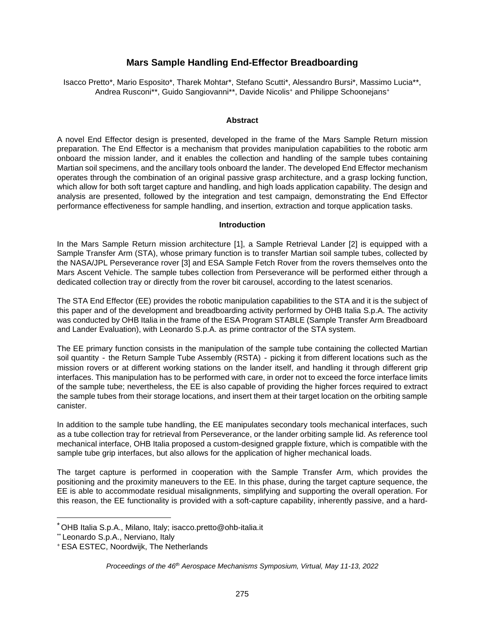# **Mars Sample Handling End-Effector Breadboarding**

Isacco Prett[o\\*](#page-0-0), Mario Esposito\*, Tharek Mohtar\*, Stefano Scutti\*, Alessandro Bursi\*, Massimo Lucia\*\*, Andrea Rusconi\*\*, Guido Sangiovanni\*\*, Davide Nicolis<sup>+</sup> and Philippe Schoonejans<sup>+</sup>

#### **Abstract**

A novel End Effector design is presented, developed in the frame of the Mars Sample Return mission preparation. The End Effector is a mechanism that provides manipulation capabilities to the robotic arm onboard the mission lander, and it enables the collection and handling of the sample tubes containing Martian soil specimens, and the ancillary tools onboard the lander. The developed End Effector mechanism operates through the combination of an original passive grasp architecture, and a grasp locking function, which allow for both soft target capture and handling, and high loads application capability. The design and analysis are presented, followed by the integration and test campaign, demonstrating the End Effector performance effectiveness for sample handling, and insertion, extraction and torque application tasks.

#### **Introduction**

In the Mars Sample Return mission architecture [1], a Sample Retrieval Lander [2] is equipped with a Sample Transfer Arm (STA), whose primary function is to transfer Martian soil sample tubes, collected by the NASA/JPL Perseverance rover [3] and ESA Sample Fetch Rover from the rovers themselves onto the Mars Ascent Vehicle. The sample tubes collection from Perseverance will be performed either through a dedicated collection tray or directly from the rover bit carousel, according to the latest scenarios.

The STA End Effector (EE) provides the robotic manipulation capabilities to the STA and it is the subject of this paper and of the development and breadboarding activity performed by OHB Italia S.p.A. The activity was conducted by OHB Italia in the frame of the ESA Program STABLE (Sample Transfer Arm Breadboard and Lander Evaluation), with Leonardo S.p.A. as prime contractor of the STA system.

The EE primary function consists in the manipulation of the sample tube containing the collected Martian soil quantity - the Return Sample Tube Assembly (RSTA) - picking it from different locations such as the mission rovers or at different working stations on the lander itself, and handling it through different grip interfaces. This manipulation has to be performed with care, in order not to exceed the force interface limits of the sample tube; nevertheless, the EE is also capable of providing the higher forces required to extract the sample tubes from their storage locations, and insert them at their target location on the orbiting sample canister.

In addition to the sample tube handling, the EE manipulates secondary tools mechanical interfaces, such as a tube collection tray for retrieval from Perseverance, or the lander orbiting sample lid. As reference tool mechanical interface, OHB Italia proposed a custom-designed grapple fixture, which is compatible with the sample tube grip interfaces, but also allows for the application of higher mechanical loads.

The target capture is performed in cooperation with the Sample Transfer Arm, which provides the positioning and the proximity maneuvers to the EE. In this phase, during the target capture sequence, the EE is able to accommodate residual misalignments, simplifying and supporting the overall operation. For this reason, the EE functionality is provided with a soft-capture capability, inherently passive, and a hard-

<span id="page-0-0"></span><sup>\*</sup> OHB Italia S.p.A., Milano, Italy; isacco.pretto@ohb-italia.it

<sup>\*\*</sup> Leonardo S.p.A., Nerviano, Italy

<sup>+</sup>ESA ESTEC, Noordwijk, The Netherlands

*Proceedings of the 46th Aerospace Mechanisms Symposium, Virtual, May 11-13, 2022*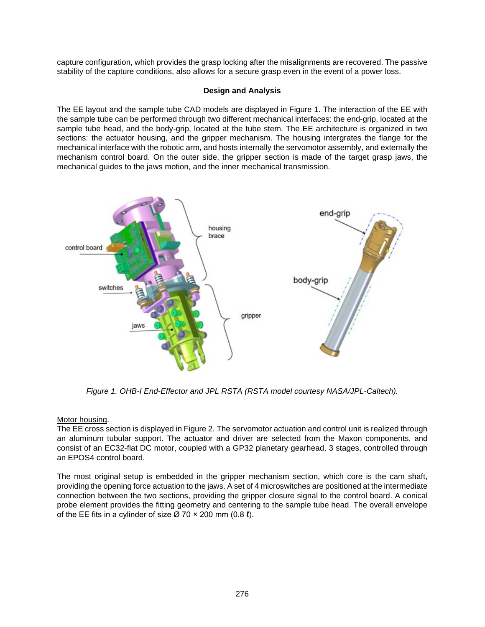capture configuration, which provides the grasp locking after the misalignments are recovered. The passive stability of the capture conditions, also allows for a secure grasp even in the event of a power loss.

# **Design and Analysis**

The EE layout and the sample tube CAD models are displayed in [Figure 1](#page-1-0). The interaction of the EE with the sample tube can be performed through two different mechanical interfaces: the end-grip, located at the sample tube head, and the body-grip, located at the tube stem. The EE architecture is organized in two sections: the actuator housing, and the gripper mechanism. The housing intergrates the flange for the mechanical interface with the robotic arm, and hosts internally the servomotor assembly, and externally the mechanism control board. On the outer side, the gripper section is made of the target grasp jaws, the mechanical guides to the jaws motion, and the inner mechanical transmission.



<span id="page-1-0"></span>*Figure 1. OHB-I End-Effector and JPL RSTA (RSTA model courtesy NASA/JPL-Caltech).* 

# Motor housing.

The EE cross section is displayed in [Figure 2](#page-2-0). The servomotor actuation and control unit is realized through an aluminum tubular support. The actuator and driver are selected from the Maxon components, and consist of an EC32-flat DC motor, coupled with a GP32 planetary gearhead, 3 stages, controlled through an EPOS4 control board.

The most original setup is embedded in the gripper mechanism section, which core is the cam shaft, providing the opening force actuation to the jaws. A set of 4 microswitches are positioned at the intermediate connection between the two sections, providing the gripper closure signal to the control board. A conical probe element provides the fitting geometry and centering to the sample tube head. The overall envelope of the EE fits in a cylinder of size  $\varnothing$  70  $\times$  200 mm (0.8  $\ell$ ).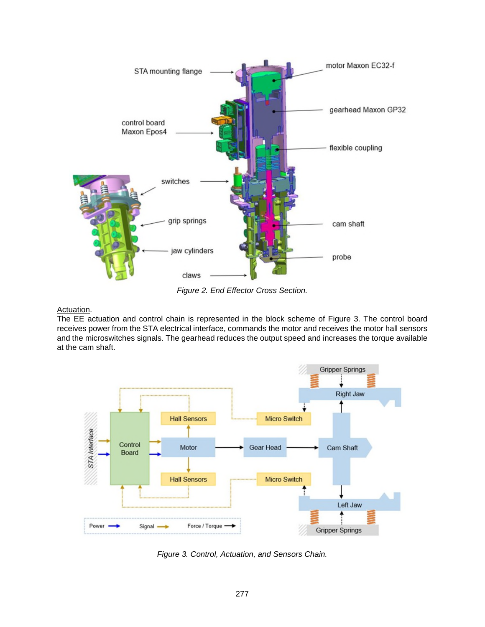<span id="page-2-0"></span>

<span id="page-2-1"></span>*Figure 2. End Effector Cross Section.*

# Actuation.

The EE actuation and control chain is represented in the block scheme of [Figure 3](#page-2-1). The control board receives power from the STA electrical interface, commands the motor and receives the motor hall sensors and the microswitches signals. The gearhead reduces the output speed and increases the torque available at the cam shaft.



*Figure 3. Control, Actuation, and Sensors Chain.*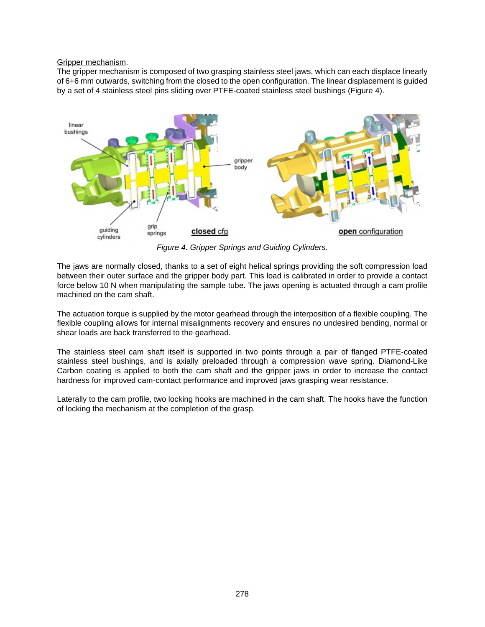### Gripper mechanism.

The gripper mechanism is composed of two grasping stainless steel jaws, which can each displace linearly of 6+6 mm outwards, switching from the closed to the open configuration. The linear displacement is guided by a set of 4 stainless steel pins sliding over PTFE-coated stainless steel bushings ([Figure 4](#page-3-0)).

<span id="page-3-0"></span>

*Figure 4. Gripper Springs and Guiding Cylinders.* 

The jaws are normally closed, thanks to a set of eight helical springs providing the soft compression load between their outer surface and the gripper body part. This load is calibrated in order to provide a contact force below 10 N when manipulating the sample tube. The jaws opening is actuated through a cam profile machined on the cam shaft.

The actuation torque is supplied by the motor gearhead through the interposition of a flexible coupling. The flexible coupling allows for internal misalignments recovery and ensures no undesired bending, normal or shear loads are back transferred to the gearhead.

The stainless steel cam shaft itself is supported in two points through a pair of flanged PTFE-coated stainless steel bushings, and is axially preloaded through a compression wave spring. Diamond-Like Carbon coating is applied to both the cam shaft and the gripper jaws in order to increase the contact hardness for improved cam-contact performance and improved jaws grasping wear resistance.

Laterally to the cam profile, two locking hooks are machined in the cam shaft. The hooks have the function of locking the mechanism at the completion of the grasp.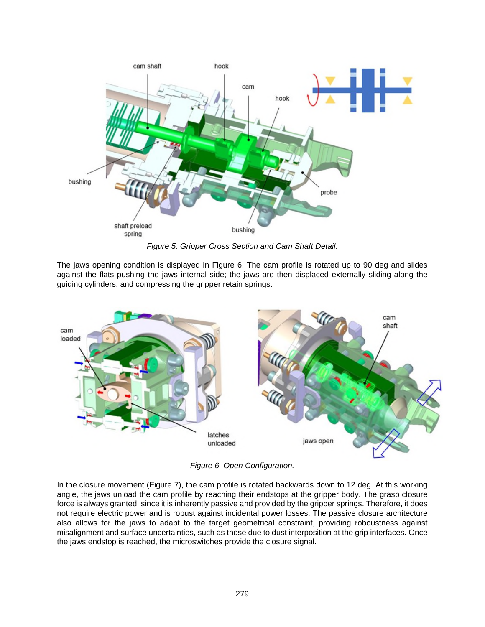

<span id="page-4-0"></span>*Figure 5. Gripper Cross Section and Cam Shaft Detail.* 

The jaws opening condition is displayed in [Figure 6](#page-4-0). The cam profile is rotated up to 90 deg and slides against the flats pushing the jaws internal side; the jaws are then displaced externally sliding along the guiding cylinders, and compressing the gripper retain springs.



*Figure 6. Open Configuration.* 

In the closure movement ([Figure 7\)](#page-5-0), the cam profile is rotated backwards down to 12 deg. At this working angle, the jaws unload the cam profile by reaching their endstops at the gripper body. The grasp closure force is always granted, since it is inherently passive and provided by the gripper springs. Therefore, it does not require electric power and is robust against incidental power losses. The passive closure architecture also allows for the jaws to adapt to the target geometrical constraint, providing roboustness against misalignment and surface uncertainties, such as those due to dust interposition at the grip interfaces. Once the jaws endstop is reached, the microswitches provide the closure signal.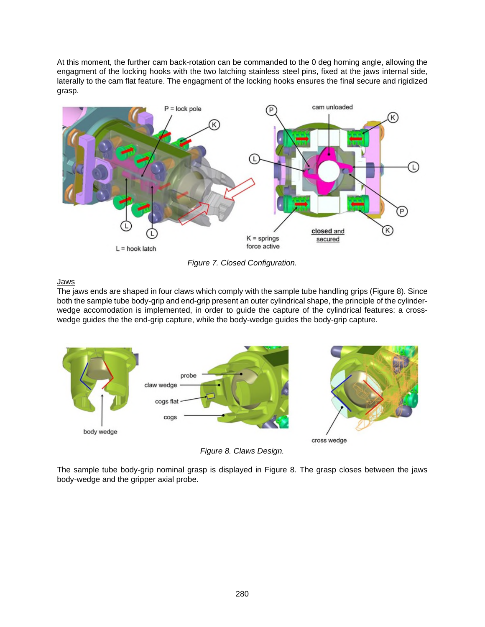At this moment, the further cam back-rotation can be commanded to the 0 deg homing angle, allowing the engagment of the locking hooks with the two latching stainless steel pins, fixed at the jaws internal side, laterally to the cam flat feature. The engagment of the locking hooks ensures the final secure and rigidized grasp.

<span id="page-5-0"></span>

<span id="page-5-1"></span>*Figure 7. Closed Configuration.* 

Jaws

The jaws ends are shaped in four claws which comply with the sample tube handling grips [\(Figure 8\)](#page-5-1). Since both the sample tube body-grip and end-grip present an outer cylindrical shape, the principle of the cylinderwedge accomodation is implemented, in order to guide the capture of the cylindrical features: a crosswedge guides the the end-grip capture, while the body-wedge guides the body-grip capture.



*Figure 8. Claws Design.* 

The sample tube body-grip nominal grasp is displayed in [Figure 8.](#page-5-1) The grasp closes between the jaws body-wedge and the gripper axial probe.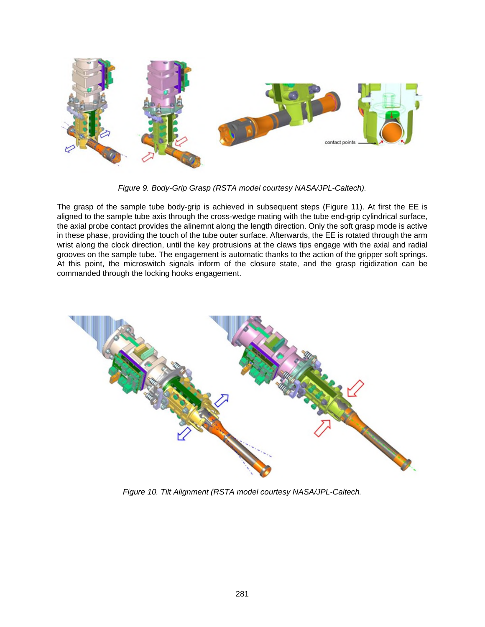

*Figure 9. Body-Grip Grasp (RSTA model courtesy NASA/JPL-Caltech).* 

The grasp of the sample tube body-grip is achieved in subsequent steps ([Figure 11](#page-7-0)). At first the EE is aligned to the sample tube axis through the cross-wedge mating with the tube end-grip cylindrical surface, the axial probe contact provides the alinemnt along the length direction. Only the soft grasp mode is active in these phase, providing the touch of the tube outer surface. Afterwards, the EE is rotated through the arm wrist along the clock direction, until the key protrusions at the claws tips engage with the axial and radial grooves on the sample tube. The engagement is automatic thanks to the action of the gripper soft springs. At this point, the microswitch signals inform of the closure state, and the grasp rigidization can be commanded through the locking hooks engagement.



*Figure 10. Tilt Alignment (RSTA model courtesy NASA/JPL-Caltech.*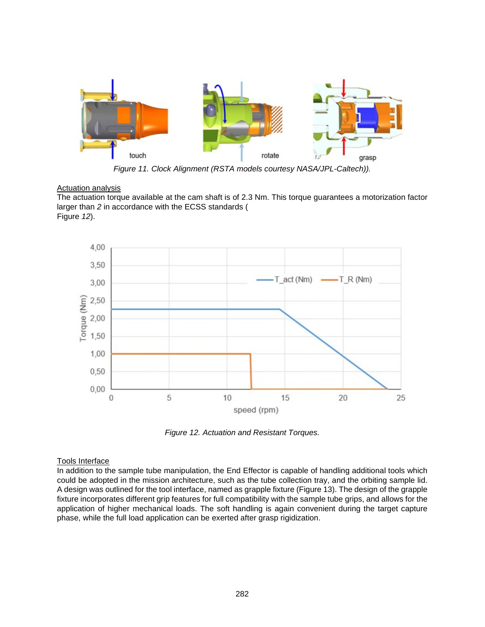<span id="page-7-0"></span>

<span id="page-7-1"></span>*Figure 11. Clock Alignment (RSTA models courtesy NASA/JPL-Caltech)).* 

### **Actuation analysis**

The actuation torque available at the cam shaft is of 2.3 Nm. This torque guarantees a motorization factor larger than *2* in accordance with the ECSS standards ( Figure *12*).



*Figure 12. Actuation and Resistant Torques.* 

# Tools Interface

In addition to the sample tube manipulation, the End Effector is capable of handling additional tools which could be adopted in the mission architecture, such as the tube collec[tion tray, a](#page-8-0)nd the orbiting sample lid. A design was outlined for the tool interface, named as grapple fixture (Figure 13). The design of the grapple fixture incorporates different grip features for full compatibility with the sample tube grips, and allows for the application of higher mechanical loads. The soft handling is again convenient during the target capture phase, while the full load application can be exerted after grasp rigidization.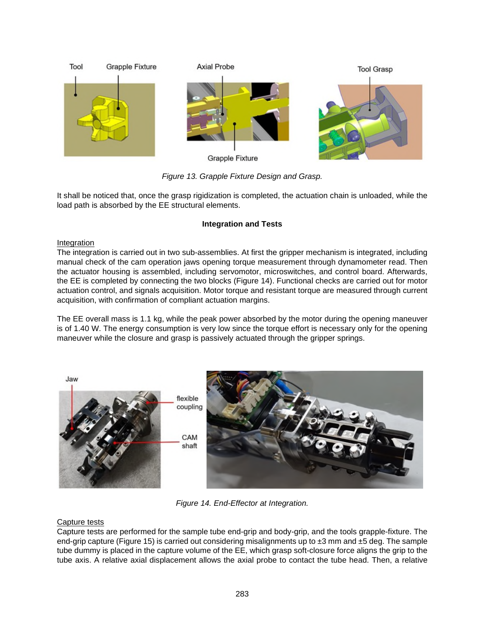<span id="page-8-0"></span>

*Figure 13. Grapple Fixture Design and Grasp.* 

It shall be noticed that, once the grasp rigidization is completed, the actuation chain is unloaded, while the load path is absorbed by the EE structural elements.

# **Integration and Tests**

### Integration

The integration is carried out in two sub-assemblies. At first the gripper mechanism is integrated, including manual check of the cam operation jaws opening torque measurement through dynamometer read. Then the actuator housing is assembled, including servomotor, microswitches, and control board. Afterwards, the EE is completed by connecting the two blocks [\(Figure 14\)](#page-8-1). Functional checks are carried out for motor actuation control, and signals acquisition. Motor torque and resistant torque are measured through current acquisition, with confirmation of compliant actuation margins.

The EE overall mass is 1.1 kg, while the peak power absorbed by the motor during the opening maneuver is of 1.40 W. The energy consumption is very low since the torque effort is necessary only for the opening maneuver while the closure and grasp is passively actuated through the gripper springs.

<span id="page-8-1"></span>

*Figure 14. End-Effector at Integration.* 

# Capture tests

Capture tests are performed for the sample tube end-grip and body-grip, and the tools grapple-fixture. The end-grip capture [\(Figure 15](#page-9-0)) is carried out considering misalignments up to  $\pm 3$  mm and  $\pm 5$  deg. The sample tube dummy is placed in the capture volume of the EE, which grasp soft-closure force aligns the grip to the tube axis. A relative axial displacement allows the axial probe to contact the tube head. Then, a relative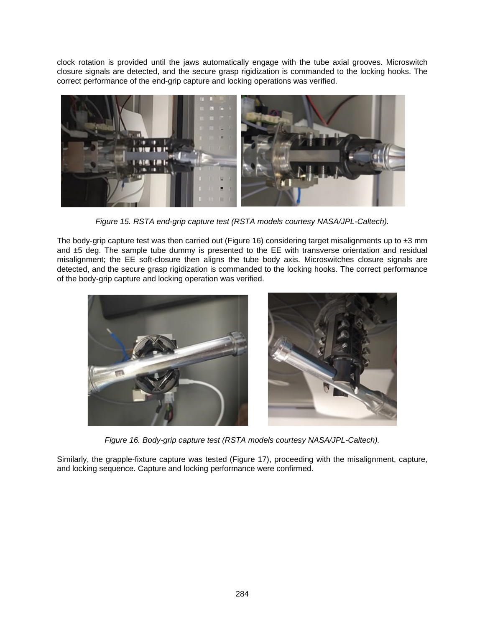clock rotation is provided until the jaws automatically engage with the tube axial grooves. Microswitch closure signals are detected, and the secure grasp rigidization is commanded to the locking hooks. The correct performance of the end-grip capture and locking operations was verified.



*Figure 15. RSTA end-grip capture test (RSTA models courtesy NASA/JPL-Caltech).* 

<span id="page-9-0"></span>The body-grip capture test was then carried out [\(Figure 16\)](#page-9-1) considering target misalignments up to  $\pm 3$  mm and ±5 deg. The sample tube dummy is presented to the EE with transverse orientation and residual misalignment; the EE soft-closure then aligns the tube body axis. Microswitches closure signals are detected, and the secure grasp rigidization is commanded to the locking hooks. The correct performance of the body-grip capture and locking operation was verified.

<span id="page-9-1"></span>

*Figure 16. Body-grip capture test (RSTA models courtesy NASA/JPL-Caltech).* 

Similarly, the grapple-fixture capture was tested ([Figure 17\)](#page-10-0), proceeding with the misalignment, capture, and locking sequence. Capture and locking performance were confirmed.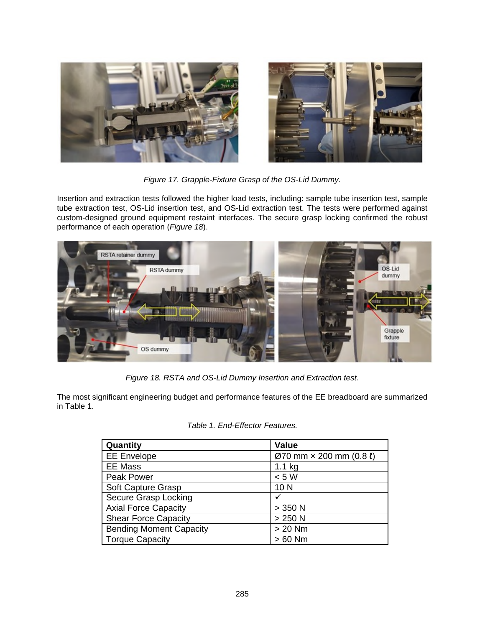<span id="page-10-0"></span>

*Figure 17. Grapple-Fixture Grasp of the OS-Lid Dummy.* 

Insertion and extraction tests followed the higher load tests, including: sample tube insertion test, sample tube extraction test, OS-Lid insertion test, and OS-Lid extraction test. The tests were performed against custom-designed ground equipment restaint interfaces. The secure grasp locking confirmed the robust performance of each operation (*[Figure 18](#page-10-1)*).

<span id="page-10-1"></span>

*Figure 18. RSTA and OS-Lid Dummy Insertion and Extraction test.* 

The most significant engineering budget and performance features of the EE breadboard are summarized in [Table 1.](#page-10-2)

| Quantity                       | <b>Value</b>                                      |
|--------------------------------|---------------------------------------------------|
| <b>EE</b> Envelope             | $\varnothing$ 70 mm $\times$ 200 mm (0.8 $\ell$ ) |
| <b>EE Mass</b>                 | $1.1$ kg                                          |
| Peak Power                     | < 5 W                                             |
| Soft Capture Grasp             | 10 <sub>N</sub>                                   |
| Secure Grasp Locking           |                                                   |
| <b>Axial Force Capacity</b>    | $>$ 350 N                                         |
| <b>Shear Force Capacity</b>    | $>250$ N                                          |
| <b>Bending Moment Capacity</b> | $> 20$ Nm                                         |
| <b>Torque Capacity</b>         | $>60$ Nm                                          |

<span id="page-10-2"></span>*Table 1. End-Effector Features.*